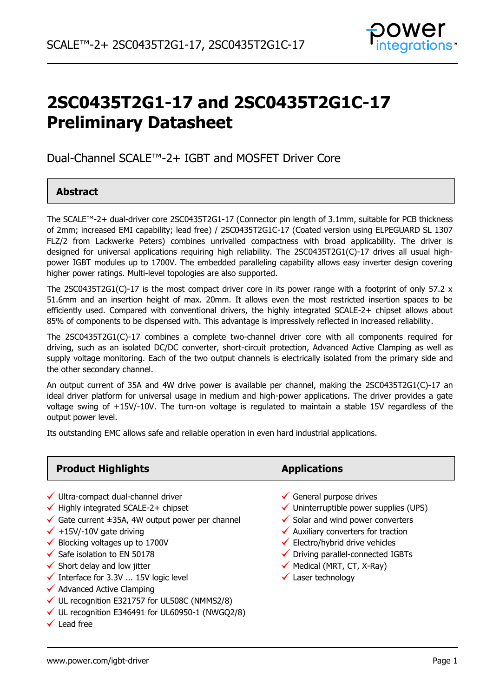

# **2SC0435T2G1-17 and 2SC0435T2G1C-17 Preliminary Datasheet**

Dual-Channel SCALE™-2+ IGBT and MOSFET Driver Core

### **Abstract**

The SCALE™-2+ dual-driver core 2SC0435T2G1-17 (Connector pin length of 3.1mm, suitable for PCB thickness of 2mm; increased EMI capability; lead free) / 2SC0435T2G1C-17 (Coated version using ELPEGUARD SL 1307 FLZ/2 from Lackwerke Peters) combines unrivalled compactness with broad applicability. The driver is designed for universal applications requiring high reliability. The 2SC0435T2G1(C)-17 drives all usual highpower IGBT modules up to 1700V. The embedded paralleling capability allows easy inverter design covering higher power ratings. Multi-level topologies are also supported.

The 2SC0435T2G1(C)-17 is the most compact driver core in its power range with a footprint of only 57.2  $\times$ 51.6mm and an insertion height of max. 20mm. It allows even the most restricted insertion spaces to be efficiently used. Compared with conventional drivers, the highly integrated SCALE-2+ chipset allows about 85% of components to be dispensed with. This advantage is impressively reflected in increased reliability.

The 2SC0435T2G1(C)-17 combines a complete two-channel driver core with all components required for driving, such as an isolated DC/DC converter, short-circuit protection, Advanced Active Clamping as well as supply voltage monitoring. Each of the two output channels is electrically isolated from the primary side and the other secondary channel.

An output current of 35A and 4W drive power is available per channel, making the 2SC0435T2G1(C)-17 an ideal driver platform for universal usage in medium and high-power applications. The driver provides a gate voltage swing of +15V/-10V. The turn-on voltage is regulated to maintain a stable 15V regardless of the output power level.

Its outstanding EMC allows safe and reliable operation in even hard industrial applications.

### **Product Highlights Applications**

- $\checkmark$  Ultra-compact dual-channel driver  $\checkmark$  General purpose drives
- $\checkmark$  Highly integrated SCALE-2+ chipset  $\checkmark$  Uninterruptible power supplies (UPS)
- V Highly integrated SCALE-2+ chipset<br>V Gate current ±35A, 4W output power per channel Solar and wind power converters
- 
- 
- 
- 
- $\checkmark$  Interface for 3.3V ... 15V logic level  $\checkmark$  Laser technology
- $\checkmark$  Advanced Active Clamping
- $\checkmark$  UL recognition E321757 for UL508C (NMMS2/8)
- $\checkmark$  UL recognition E346491 for UL60950-1 (NWGQ2/8)
- $\checkmark$  Lead free

- 
- 
- 
- V Gate current ±35A, 4W output power per channel v Solar and wind power converte<br>V +15V/-10V gate driving v → Auxiliary converters for traction  $\checkmark$  +15V/-10V gate driving<br>  $\checkmark$  Blocking voltages up to 1700V  $\checkmark$  Electro/hybrid drive vehicles
	-
- $\checkmark$  Safe isolation to EN 50178  $\checkmark$  Driving parallel-connected IGBTs
- $\checkmark$  Short delay and low jitter  $\checkmark$  Medical (MRT, CT, X-Ray)
	-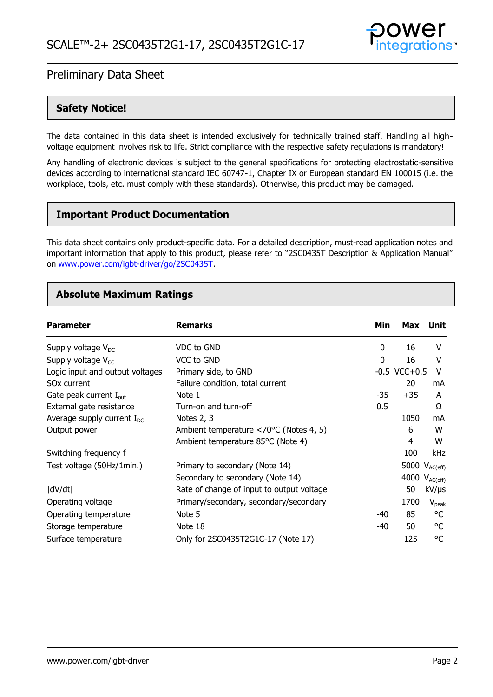

### **Safety Notice!**

The data contained in this data sheet is intended exclusively for technically trained staff. Handling all highvoltage equipment involves risk to life. Strict compliance with the respective safety regulations is mandatory!

Any handling of electronic devices is subject to the general specifications for protecting electrostatic-sensitive devices according to international standard IEC 60747-1, Chapter IX or European standard EN 100015 (i.e. the workplace, tools, etc. must comply with these standards). Otherwise, this product may be damaged.

### **Important Product Documentation**

This data sheet contains only product-specific data. For a detailed description, must-read application notes and important information that apply to this product, please refer to "2SC0435T Description & Application Manual" on [www.power.com/igbt-driver/go/2SC0435T.](http://www.power.com/igbt-driver/go/2SC0435T)

### **Absolute Maximum Ratings**

| <b>Parameter</b>                   | <b>Remarks</b>                            | Min | Max               | Unit          |
|------------------------------------|-------------------------------------------|-----|-------------------|---------------|
| Supply voltage $V_{DC}$            | VDC to GND                                | 0   | 16                | v             |
| Supply voltage $V_{cc}$            | VCC to GND                                | 0   | 16                | v             |
| Logic input and output voltages    | Primary side, to GND                      |     | $-0.5$ VCC $+0.5$ | v             |
| SO <sub>x</sub> current            | Failure condition, total current          |     | 20                | mA            |
| Gate peak current I <sub>out</sub> | Note 1                                    | -35 | $+35$             | A             |
| External gate resistance           | Turn-on and turn-off                      | 0.5 |                   | Ω             |
| Average supply current $I_{DC}$    | Notes 2, 3                                |     | 1050              | mA            |
| Output power                       | Ambient temperature <70°C (Notes 4, 5)    |     | 6                 | W             |
|                                    | Ambient temperature 85°C (Note 4)         |     | 4                 | W             |
| Switching frequency f              |                                           |     | 100               | kHz           |
| Test voltage (50Hz/1min.)          | Primary to secondary (Note 14)            |     | 5000              | $V_{AC(eff)}$ |
|                                    | Secondary to secondary (Note 14)          |     | 4000              | $V_{AC(eff)}$ |
| dV/dt                              | Rate of change of input to output voltage |     | 50                | $kV/\mu s$    |
| Operating voltage                  | Primary/secondary, secondary/secondary    |     | 1700              | $V_{peak}$    |
| Operating temperature              | Note 5                                    | -40 | 85                | °C            |
| Storage temperature                | Note 18                                   | -40 | 50                | °C            |
| Surface temperature                | Only for 2SC0435T2G1C-17 (Note 17)        |     | 125               | °C            |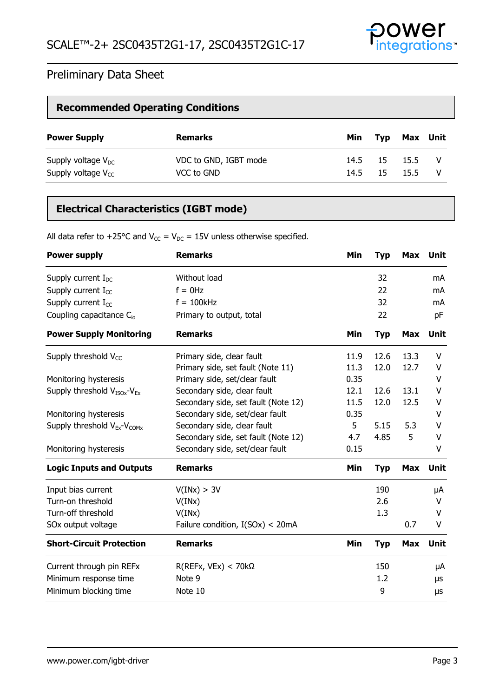

### **Recommended Operating Conditions**

| <b>Power Supply</b>     | <b>Remarks</b>        | Min  | Typ | Max Unit |  |
|-------------------------|-----------------------|------|-----|----------|--|
| Supply voltage $V_{DC}$ | VDC to GND, IGBT mode | 14.5 | -15 | 15.5     |  |
| Supply voltage $V_{CC}$ | VCC to GND            | 14.5 | 15  | 15.5     |  |

### **Electrical Characteristics (IGBT mode)**

All data refer to +25°C and  $V_{CC} = V_{DC} = 15V$  unless otherwise specified.

| <b>Power supply</b>                    | <b>Remarks</b>                      | Min  | <b>Typ</b> | Max        | Unit        |
|----------------------------------------|-------------------------------------|------|------------|------------|-------------|
| Supply current $I_{DC}$                | Without load                        |      | 32         |            | mA          |
| Supply current $I_{CC}$                | $f = 0$ Hz                          |      | 22         |            | mA          |
| Supply current $I_{CC}$                | $f = 100$ kHz                       |      | 32         |            | mA          |
| Coupling capacitance C <sub>io</sub>   | Primary to output, total            |      | 22         |            | pF          |
| <b>Power Supply Monitoring</b>         | <b>Remarks</b>                      | Min  | <b>Typ</b> | <b>Max</b> | <b>Unit</b> |
| Supply threshold $V_{CC}$              | Primary side, clear fault           | 11.9 | 12.6       | 13.3       | V           |
|                                        | Primary side, set fault (Note 11)   | 11.3 | 12.0       | 12.7       | V           |
| Monitoring hysteresis                  | Primary side, set/clear fault       | 0.35 |            |            | V           |
| Supply threshold $V_{ISOx}$ - $V_{Ex}$ | Secondary side, clear fault         | 12.1 | 12.6       | 13.1       | V           |
|                                        | Secondary side, set fault (Note 12) | 11.5 | 12.0       | 12.5       | ۷           |
| Monitoring hysteresis                  | Secondary side, set/clear fault     | 0.35 |            |            | v           |
| Supply threshold $V_{Ex}$ - $V_{COMX}$ | Secondary side, clear fault         | 5    | 5.15       | 5.3        | V           |
|                                        | Secondary side, set fault (Note 12) | 4.7  | 4.85       | 5          | v           |
| Monitoring hysteresis                  | Secondary side, set/clear fault     | 0.15 |            |            | v           |
| <b>Logic Inputs and Outputs</b>        | <b>Remarks</b>                      | Min  | <b>Typ</b> | <b>Max</b> | <b>Unit</b> |
| Input bias current                     | V(INx) > 3V                         |      | 190        |            | μA          |
| Turn-on threshold                      | V(INx)                              |      | 2.6        |            | V           |
| Turn-off threshold                     | V(INx)                              |      | 1.3        |            | v           |
| SOx output voltage                     | Failure condition, I(SOx) < 20mA    |      |            | 0.7        | V           |
| <b>Short-Circuit Protection</b>        | <b>Remarks</b>                      | Min  | <b>Typ</b> | <b>Max</b> | <b>Unit</b> |
| Current through pin REFx               | $R(REFx, VEx) < 70k\Omega$          |      | 150        |            | μA          |
| Minimum response time                  | Note 9                              |      | 1.2        |            | μs          |
| Minimum blocking time                  | Note 10                             |      | 9          |            | μs          |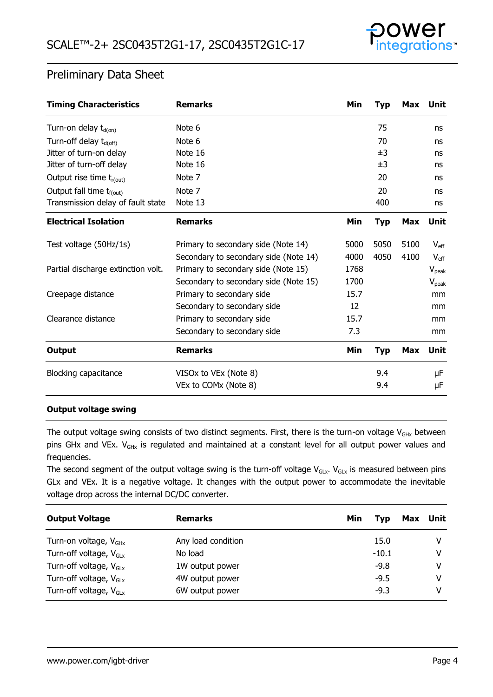

| <b>Timing Characteristics</b>        | <b>Remarks</b>                        | Min  | <b>Typ</b> | <b>Max</b> | Unit             |
|--------------------------------------|---------------------------------------|------|------------|------------|------------------|
| Turn-on delay $t_{d(0n)}$            | Note 6                                |      | 75         |            | ns               |
| Turn-off delay t <sub>d(off)</sub>   | Note 6                                |      | 70         |            | ns               |
| Jitter of turn-on delay              | Note 16                               |      | ±3         |            | ns               |
| Jitter of turn-off delay             | Note 16                               |      | ±3         |            | ns               |
| Output rise time $t_{r(out)}$        | Note 7                                |      | 20         |            | ns               |
| Output fall time t <sub>f(out)</sub> | Note 7                                |      | 20         |            | ns               |
| Transmission delay of fault state    | Note 13                               |      | 400        |            | ns               |
| <b>Electrical Isolation</b>          | <b>Remarks</b>                        | Min  | <b>Typ</b> | Max        | Unit             |
| Test voltage (50Hz/1s)               | Primary to secondary side (Note 14)   | 5000 | 5050       | 5100       | $V_{\text{eff}}$ |
|                                      | Secondary to secondary side (Note 14) | 4000 | 4050       | 4100       | $V_{\rm eff}$    |
| Partial discharge extinction volt.   | Primary to secondary side (Note 15)   | 1768 |            |            | $V_{peak}$       |
|                                      | Secondary to secondary side (Note 15) | 1700 |            |            | $V_{peak}$       |
| Creepage distance                    | Primary to secondary side             | 15.7 |            |            | mm               |
|                                      | Secondary to secondary side           | 12   |            |            | mm               |
| Clearance distance                   | Primary to secondary side             | 15.7 |            |            | mm               |
|                                      | Secondary to secondary side           | 7.3  |            |            | mm               |
| <b>Output</b>                        | <b>Remarks</b>                        | Min  | Typ        | Max        | Unit             |
| <b>Blocking capacitance</b>          | VISOx to VEx (Note 8)                 |      | 9.4        |            | μF               |
|                                      | VEx to COMx (Note 8)                  |      | 9.4        |            | μF               |

#### **Output voltage swing**

The output voltage swing consists of two distinct segments. First, there is the turn-on voltage  $V_{GHx}$  between pins GHx and VEx. V<sub>GHx</sub> is regulated and maintained at a constant level for all output power values and frequencies.

The second segment of the output voltage swing is the turn-off voltage  $V_{GLX}$ .  $V_{GLX}$  is measured between pins GLx and VEx. It is a negative voltage. It changes with the output power to accommodate the inevitable voltage drop across the internal DC/DC converter.

| <b>Output Voltage</b>              | <b>Remarks</b>     | Min | Tvp     | Max Unit |
|------------------------------------|--------------------|-----|---------|----------|
| Turn-on voltage, V <sub>GHx</sub>  | Any load condition |     | 15.0    |          |
| Turn-off voltage, $V_{\text{Gix}}$ | No load            |     | $-10.1$ |          |
| Turn-off voltage, $V_{\text{G1x}}$ | 1W output power    |     | $-9.8$  | v        |
| Turn-off voltage, $V_{\text{GLx}}$ | 4W output power    |     | $-9.5$  | v        |
| Turn-off voltage, $V_{\text{Gix}}$ | 6W output power    |     | $-9.3$  |          |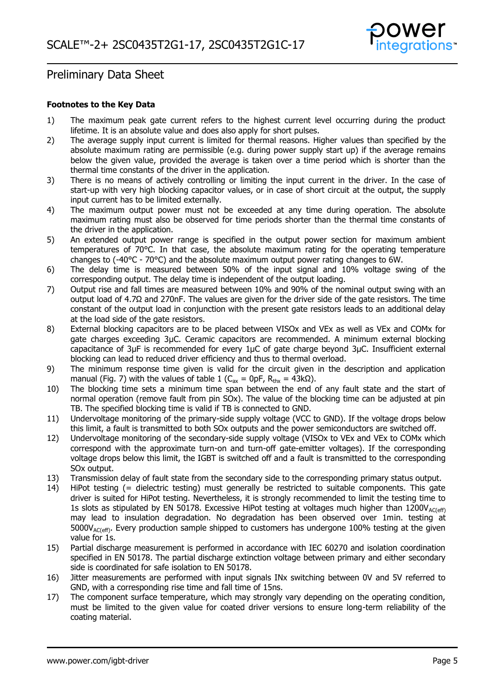

#### **Footnotes to the Key Data**

- 1) The maximum peak gate current refers to the highest current level occurring during the product lifetime. It is an absolute value and does also apply for short pulses.
- 2) The average supply input current is limited for thermal reasons. Higher values than specified by the absolute maximum rating are permissible (e.g. during power supply start up) if the average remains below the given value, provided the average is taken over a time period which is shorter than the thermal time constants of the driver in the application.
- 3) There is no means of actively controlling or limiting the input current in the driver. In the case of start-up with very high blocking capacitor values, or in case of short circuit at the output, the supply input current has to be limited externally.
- 4) The maximum output power must not be exceeded at any time during operation. The absolute maximum rating must also be observed for time periods shorter than the thermal time constants of the driver in the application.
- 5) An extended output power range is specified in the output power section for maximum ambient temperatures of 70°C. In that case, the absolute maximum rating for the operating temperature changes to  $(-40^{\circ}C - 70^{\circ}C)$  and the absolute maximum output power rating changes to 6W.
- 6) The delay time is measured between 50% of the input signal and 10% voltage swing of the corresponding output. The delay time is independent of the output loading.
- 7) Output rise and fall times are measured between 10% and 90% of the nominal output swing with an output load of 4.7Ω and 270nF. The values are given for the driver side of the gate resistors. The time constant of the output load in conjunction with the present gate resistors leads to an additional delay at the load side of the gate resistors.
- 8) External blocking capacitors are to be placed between VISOx and VEx as well as VEx and COMx for gate charges exceeding 3µC. Ceramic capacitors are recommended. A minimum external blocking capacitance of 3µF is recommended for every 1µC of gate charge beyond 3µC. Insufficient external blocking can lead to reduced driver efficiency and thus to thermal overload.
- 9) The minimum response time given is valid for the circuit given in the description and application manual (Fig. 7) with the values of table 1 (C<sub>ax</sub> = 0pF, R<sub>thx</sub> = 43kΩ).
- 10) The blocking time sets a minimum time span between the end of any fault state and the start of normal operation (remove fault from pin SOx). The value of the blocking time can be adjusted at pin TB. The specified blocking time is valid if TB is connected to GND.
- 11) Undervoltage monitoring of the primary-side supply voltage (VCC to GND). If the voltage drops below this limit, a fault is transmitted to both SOx outputs and the power semiconductors are switched off.
- 12) Undervoltage monitoring of the secondary-side supply voltage (VISOx to VEx and VEx to COMx which correspond with the approximate turn-on and turn-off gate-emitter voltages). If the corresponding voltage drops below this limit, the IGBT is switched off and a fault is transmitted to the corresponding SOx output.
- 13) Transmission delay of fault state from the secondary side to the corresponding primary status output.
- 14) HiPot testing (= dielectric testing) must generally be restricted to suitable components. This gate driver is suited for HiPot testing. Nevertheless, it is strongly recommended to limit the testing time to 1s slots as stipulated by EN 50178. Excessive HiPot testing at voltages much higher than  $1200V_{AC(eff)}$ may lead to insulation degradation. No degradation has been observed over 1min. testing at  $5000V_{AC(eff)}$ . Every production sample shipped to customers has undergone 100% testing at the given value for 1s.
- 15) Partial discharge measurement is performed in accordance with IEC 60270 and isolation coordination specified in EN 50178. The partial discharge extinction voltage between primary and either secondary side is coordinated for safe isolation to EN 50178.
- 16) Jitter measurements are performed with input signals INx switching between 0V and 5V referred to GND, with a corresponding rise time and fall time of 15ns.
- 17) The component surface temperature, which may strongly vary depending on the operating condition, must be limited to the given value for coated driver versions to ensure long-term reliability of the coating material.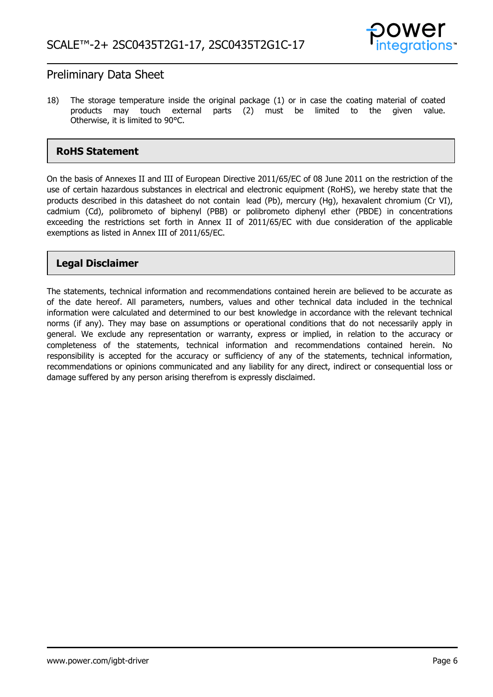

18) The storage temperature inside the original package (1) or in case the coating material of coated products may touch external parts (2) must be limited to the given value. Otherwise, it is limited to 90°C.

### **RoHS Statement**

On the basis of Annexes II and III of European Directive 2011/65/EC of 08 June 2011 on the restriction of the use of certain hazardous substances in electrical and electronic equipment (RoHS), we hereby state that the products described in this datasheet do not contain lead (Pb), mercury (Hg), hexavalent chromium (Cr VI), cadmium (Cd), polibrometo of biphenyl (PBB) or polibrometo diphenyl ether (PBDE) in concentrations exceeding the restrictions set forth in Annex II of 2011/65/EC with due consideration of the applicable exemptions as listed in Annex III of 2011/65/EC.

### **Legal Disclaimer**

The statements, technical information and recommendations contained herein are believed to be accurate as of the date hereof. All parameters, numbers, values and other technical data included in the technical information were calculated and determined to our best knowledge in accordance with the relevant technical norms (if any). They may base on assumptions or operational conditions that do not necessarily apply in general. We exclude any representation or warranty, express or implied, in relation to the accuracy or completeness of the statements, technical information and recommendations contained herein. No responsibility is accepted for the accuracy or sufficiency of any of the statements, technical information, recommendations or opinions communicated and any liability for any direct, indirect or consequential loss or damage suffered by any person arising therefrom is expressly disclaimed.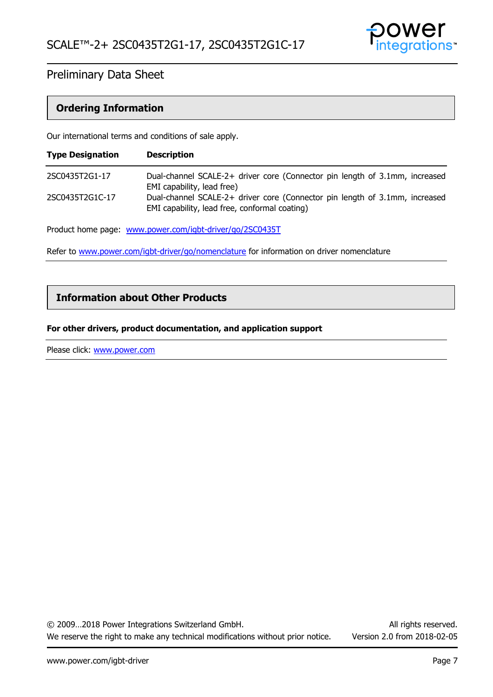

#### **Ordering Information**

Our international terms and conditions of sale apply.

| <b>Type Designation</b> | <b>Description</b>                                                                                                           |
|-------------------------|------------------------------------------------------------------------------------------------------------------------------|
| 2SC0435T2G1-17          | Dual-channel SCALE-2+ driver core (Connector pin length of 3.1mm, increased<br>EMI capability, lead free)                    |
| 2SC0435T2G1C-17         | Dual-channel SCALE-2+ driver core (Connector pin length of 3.1mm, increased<br>EMI capability, lead free, conformal coating) |

Product home page: [www.power.com/igbt-driver/go/2SC0435T](http://www.power.com/igbt-driver/go/2SC0435T)

Refer to [www.power.com/igbt-driver/go/nomenclature](http://www.power.com/igbt-driver/go/nomenclature) for information on driver nomenclature

### **Information about Other Products**

#### **For other drivers, product documentation, and application support**

Please click: www.power.com

© 2009…2018 Power Integrations Switzerland GmbH. All rights reserved. We reserve the right to make any technical modifications without prior notice. Version 2.0 from 2018-02-05